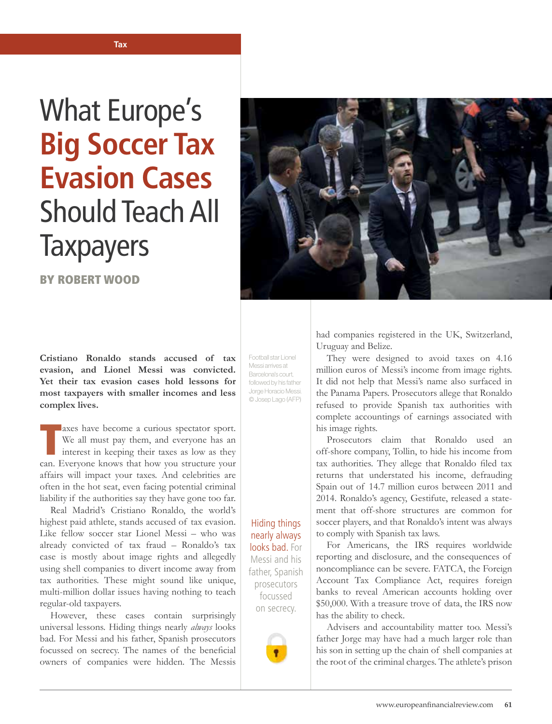## What Europe's **Big Soccer Tax Evasion Cases** Should Teach All **Taxpayers**

BY ROBERT WOOD



**Cristiano Ronaldo stands accused of tax evasion, and Lionel Messi was convicted. Yet their tax evasion cases hold lessons for most taxpayers with smaller incomes and less complex lives.**

axes have become a curious spectator sport.<br>We all must pay them, and everyone has an interest in keeping their taxes as low as they<br>can. Everyone knows that how you structure your **Laxes** have become a curious spectator sport. We all must pay them, and everyone has an interest in keeping their taxes as low as they affairs will impact your taxes. And celebrities are often in the hot seat, even facing potential criminal liability if the authorities say they have gone too far.

Real Madrid's Cristiano Ronaldo, the world's highest paid athlete, stands accused of tax evasion. Like fellow soccer star Lionel Messi – who was already convicted of tax fraud – Ronaldo's tax case is mostly about image rights and allegedly using shell companies to divert income away from tax authorities. These might sound like unique, multi-million dollar issues having nothing to teach regular-old taxpayers.

However, these cases contain surprisingly universal lessons. Hiding things nearly *always* looks bad. For Messi and his father, Spanish prosecutors focussed on secrecy. The names of the beneficial owners of companies were hidden. The Messis

Football star Lionel Messi arrives at Barcelona's court, followed by his father Jorge Horacio Messi. © Josep Lago (AFP)

Hiding things nearly always looks bad. For Messi and his father, Spanish prosecutors focussed on secrecy.



had companies registered in the UK, Switzerland, Uruguay and Belize.

They were designed to avoid taxes on 4.16 million euros of Messi's income from image rights. It did not help that Messi's name also surfaced in the Panama Papers. Prosecutors allege that Ronaldo refused to provide Spanish tax authorities with complete accountings of earnings associated with his image rights.

Prosecutors claim that Ronaldo used an off-shore company, Tollin, to hide his income from tax authorities. They allege that Ronaldo filed tax returns that understated his income, defrauding Spain out of 14.7 million euros between 2011 and 2014. Ronaldo's agency, Gestifute, released a statement that off-shore structures are common for soccer players, and that Ronaldo's intent was always to comply with Spanish tax laws.

For Americans, the IRS requires worldwide reporting and disclosure, and the consequences of noncompliance can be severe. FATCA, the Foreign Account Tax Compliance Act, requires foreign banks to reveal American accounts holding over \$50,000. With a treasure trove of data, the IRS now has the ability to check.

Advisers and accountability matter too. Messi's father Jorge may have had a much larger role than his son in setting up the chain of shell companies at the root of the criminal charges. The athlete's prison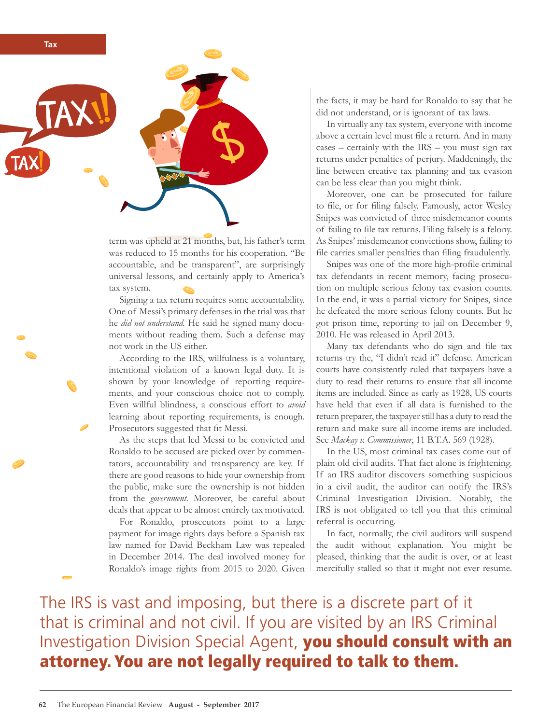

term was upheld at 21 months, but, his father's term was reduced to 15 months for his cooperation. "Be accountable, and be transparent", are surprisingly universal lessons, and certainly apply to America's tax system.

Signing a tax return requires some accountability. One of Messi's primary defenses in the trial was that he *did not understand.* He said he signed many documents without reading them. Such a defense may not work in the US either.

According to the IRS, willfulness is a voluntary, intentional violation of a known legal duty. It is shown by your knowledge of reporting requirements, and your conscious choice not to comply. Even willful blindness, a conscious effort to *avoid* learning about reporting requirements, is enough. Prosecutors suggested that fit Messi.

As the steps that led Messi to be convicted and Ronaldo to be accused are picked over by commentators, accountability and transparency are key. If there are good reasons to hide your ownership from the public, make sure the ownership is not hidden from the *government.* Moreover, be careful about deals that appear to be almost entirely tax motivated.

For Ronaldo, prosecutors point to a large payment for image rights days before a Spanish tax law named for David Beckham Law was repealed in December 2014. The deal involved money for Ronaldo's image rights from 2015 to 2020. Given

the facts, it may be hard for Ronaldo to say that he did not understand, or is ignorant of tax laws.

In virtually any tax system, everyone with income above a certain level must file a return. And in many cases – certainly with the IRS – you must sign tax returns under penalties of perjury. Maddeningly, the line between creative tax planning and tax evasion can be less clear than you might think.

Moreover, one can be prosecuted for failure to file, or for filing falsely. Famously, actor Wesley Snipes was convicted of three misdemeanor counts of failing to file tax returns. Filing falsely is a felony. As Snipes' misdemeanor convictions show, failing to file carries smaller penalties than filing fraudulently.

Snipes was one of the more high-profile criminal tax defendants in recent memory, facing prosecution on multiple serious felony tax evasion counts. In the end, it was a partial victory for Snipes, since he defeated the more serious felony counts. But he got prison time, reporting to jail on December 9, 2010. He was released in April 2013.

Many tax defendants who do sign and file tax returns try the, "I didn't read it" defense. American courts have consistently ruled that taxpayers have a duty to read their returns to ensure that all income items are included. Since as early as 1928, US courts have held that even if all data is furnished to the return preparer, the taxpayer still has a duty to read the return and make sure all income items are included. See *Mackay v. Commissioner*, 11 B.T.A. 569 (1928).

In the US, most criminal tax cases come out of plain old civil audits. That fact alone is frightening. If an IRS auditor discovers something suspicious in a civil audit, the auditor can notify the IRS's Criminal Investigation Division. Notably, the IRS is not obligated to tell you that this criminal referral is occurring.

In fact, normally, the civil auditors will suspend the audit without explanation. You might be pleased, thinking that the audit is over, or at least mercifully stalled so that it might not ever resume.

The IRS is vast and imposing, but there is a discrete part of it that is criminal and not civil. If you are visited by an IRS Criminal Investigation Division Special Agent, you should consult with an attorney. You are not legally required to talk to them.